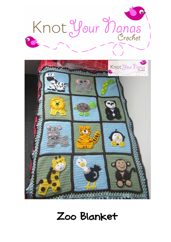



# Zoo Blanket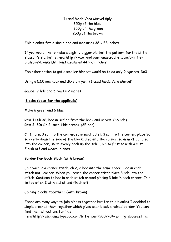I used Moda Vera Marvel 8ply 350g of the blue 350g of the green 250g of the brown

This blanket fits a single bed and measures  $38 \times 58$  inches

If you would like to make a slightly bigger blanket the pattern for the Little Blossom's Blanket is here [http://www.knotyournanascrochet.com/p/little](http://www.knotyournanascrochet.com/p/little-blossoms-blanket.html)[blossoms-blanket.htmla](http://www.knotyournanascrochet.com/p/little-blossoms-blanket.html)nd measures 44 x 62 inches

The other option to get a smaller blanket would be to do only 9 squares, 3x3.

Using a 5.50 mm hook and dk/8 ply yarn (I used Moda Vera Marvel)

**Gauge:** 7 hdc and 5 rows = 2 inches

### **Blocks (base for the appliqués)**

Make 6 green and 6 blue.

**Row 1:** Ch 36, hdc in 3rd ch from the hook and across. (35 hdc) **Row 2-30:** Ch 2, turn. Hdc across. (35 hdc)

Ch 1, turn. 3 sc into the corner, sc in next 33 st, 3 sc into the corner, place 36 sc evenly down the side of the block, 3 sc into the corner, sc in next 33, 3 sc into the corner, 36 sc evenly back up the side. Join to first sc with a sl st. Finish off and weave in ends.

#### **Border For Each Block (with brown)**

Join yarn in a corner stitch, ch 2, 2 hdc into the same space. Hdc in each stitch until corner. When you reach the corner stitch place 3 hdc into the stitch. Continue to hdc in each stitch around placing 3 hdc in each corner. Join to top of ch 2 with a sl st and finish off.

#### **Joining blocks together: (with brown)**

There are many ways to join blocks together but for this blanket I decided to single crochet them together which gives each block a raised border. You can find the instructions for this

here[:http://yscmama.typepad.com/little\\_purl/2007/04/joining\\_squares.html](http://yscmama.typepad.com/little_purl/2007/04/joining_squares.html)